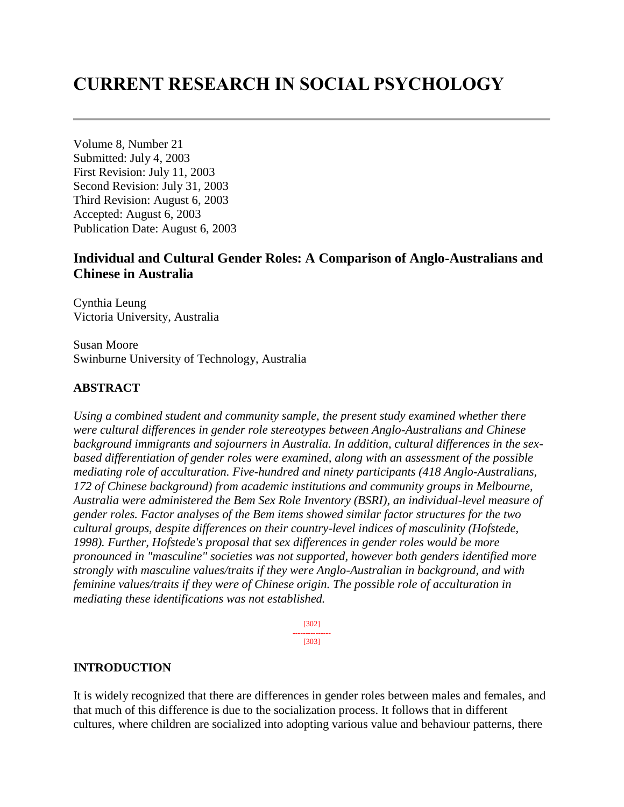# **CURRENT RESEARCH IN SOCIAL PSYCHOLOGY**

Volume 8, Number 21 Submitted: July 4, 2003 First Revision: July 11, 2003 Second Revision: July 31, 2003 Third Revision: August 6, 2003 Accepted: August 6, 2003 Publication Date: August 6, 2003

# **Individual and Cultural Gender Roles: A Comparison of Anglo-Australians and Chinese in Australia**

Cynthia Leung Victoria University, Australia

Susan Moore Swinburne University of Technology, Australia

# **ABSTRACT**

*Using a combined student and community sample, the present study examined whether there were cultural differences in gender role stereotypes between Anglo-Australians and Chinese background immigrants and sojourners in Australia. In addition, cultural differences in the sexbased differentiation of gender roles were examined, along with an assessment of the possible mediating role of acculturation. Five-hundred and ninety participants (418 Anglo-Australians, 172 of Chinese background) from academic institutions and community groups in Melbourne, Australia were administered the Bem Sex Role Inventory (BSRI), an individual-level measure of gender roles. Factor analyses of the Bem items showed similar factor structures for the two cultural groups, despite differences on their country-level indices of masculinity (Hofstede, 1998). Further, Hofstede's proposal that sex differences in gender roles would be more pronounced in "masculine" societies was not supported, however both genders identified more strongly with masculine values/traits if they were Anglo-Australian in background, and with feminine values/traits if they were of Chinese origin. The possible role of acculturation in mediating these identifications was not established.*

> [302] --------------- [303]

### **INTRODUCTION**

It is widely recognized that there are differences in gender roles between males and females, and that much of this difference is due to the socialization process. It follows that in different cultures, where children are socialized into adopting various value and behaviour patterns, there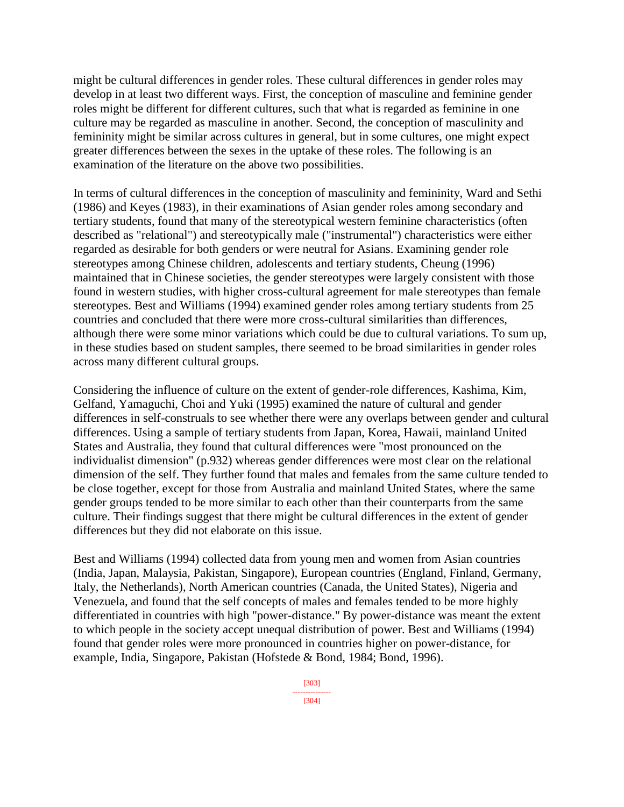might be cultural differences in gender roles. These cultural differences in gender roles may develop in at least two different ways. First, the conception of masculine and feminine gender roles might be different for different cultures, such that what is regarded as feminine in one culture may be regarded as masculine in another. Second, the conception of masculinity and femininity might be similar across cultures in general, but in some cultures, one might expect greater differences between the sexes in the uptake of these roles. The following is an examination of the literature on the above two possibilities.

In terms of cultural differences in the conception of masculinity and femininity, Ward and Sethi (1986) and Keyes (1983), in their examinations of Asian gender roles among secondary and tertiary students, found that many of the stereotypical western feminine characteristics (often described as "relational") and stereotypically male ("instrumental") characteristics were either regarded as desirable for both genders or were neutral for Asians. Examining gender role stereotypes among Chinese children, adolescents and tertiary students, Cheung (1996) maintained that in Chinese societies, the gender stereotypes were largely consistent with those found in western studies, with higher cross-cultural agreement for male stereotypes than female stereotypes. Best and Williams (1994) examined gender roles among tertiary students from 25 countries and concluded that there were more cross-cultural similarities than differences, although there were some minor variations which could be due to cultural variations. To sum up, in these studies based on student samples, there seemed to be broad similarities in gender roles across many different cultural groups.

Considering the influence of culture on the extent of gender-role differences, Kashima, Kim, Gelfand, Yamaguchi, Choi and Yuki (1995) examined the nature of cultural and gender differences in self-construals to see whether there were any overlaps between gender and cultural differences. Using a sample of tertiary students from Japan, Korea, Hawaii, mainland United States and Australia, they found that cultural differences were "most pronounced on the individualist dimension" (p.932) whereas gender differences were most clear on the relational dimension of the self. They further found that males and females from the same culture tended to be close together, except for those from Australia and mainland United States, where the same gender groups tended to be more similar to each other than their counterparts from the same culture. Their findings suggest that there might be cultural differences in the extent of gender differences but they did not elaborate on this issue.

Best and Williams (1994) collected data from young men and women from Asian countries (India, Japan, Malaysia, Pakistan, Singapore), European countries (England, Finland, Germany, Italy, the Netherlands), North American countries (Canada, the United States), Nigeria and Venezuela, and found that the self concepts of males and females tended to be more highly differentiated in countries with high "power-distance." By power-distance was meant the extent to which people in the society accept unequal distribution of power. Best and Williams (1994) found that gender roles were more pronounced in countries higher on power-distance, for example, India, Singapore, Pakistan (Hofstede & Bond, 1984; Bond, 1996).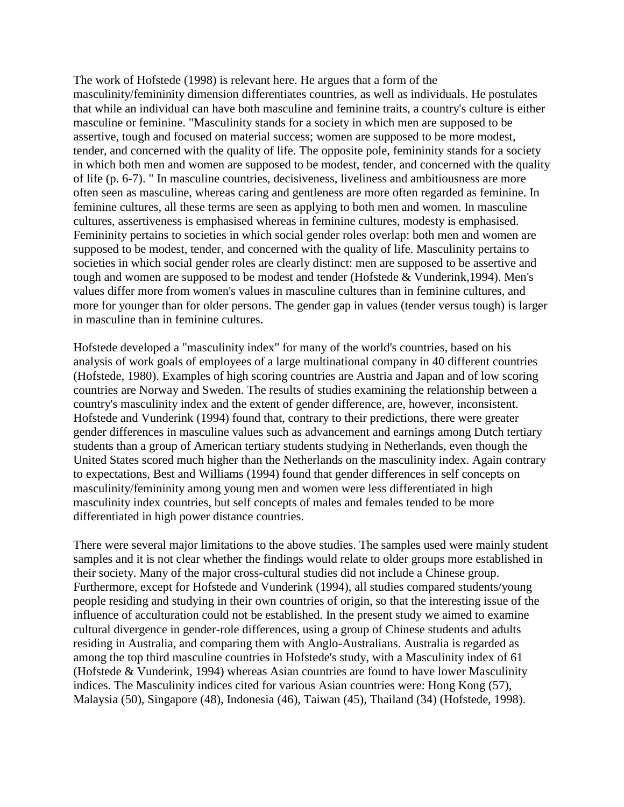The work of Hofstede (1998) is relevant here. He argues that a form of the masculinity/femininity dimension differentiates countries, as well as individuals. He postulates that while an individual can have both masculine and feminine traits, a country's culture is either masculine or feminine. "Masculinity stands for a society in which men are supposed to be assertive, tough and focused on material success; women are supposed to be more modest, tender, and concerned with the quality of life. The opposite pole, femininity stands for a society in which both men and women are supposed to be modest, tender, and concerned with the quality of life (p. 6-7). " In masculine countries, decisiveness, liveliness and ambitiousness are more often seen as masculine, whereas caring and gentleness are more often regarded as feminine. In feminine cultures, all these terms are seen as applying to both men and women. In masculine cultures, assertiveness is emphasised whereas in feminine cultures, modesty is emphasised. Femininity pertains to societies in which social gender roles overlap: both men and women are supposed to be modest, tender, and concerned with the quality of life. Masculinity pertains to societies in which social gender roles are clearly distinct: men are supposed to be assertive and tough and women are supposed to be modest and tender (Hofstede & Vunderink,1994). Men's values differ more from women's values in masculine cultures than in feminine cultures, and more for younger than for older persons. The gender gap in values (tender versus tough) is larger in masculine than in feminine cultures.

Hofstede developed a "masculinity index" for many of the world's countries, based on his analysis of work goals of employees of a large multinational company in 40 different countries (Hofstede, 1980). Examples of high scoring countries are Austria and Japan and of low scoring countries are Norway and Sweden. The results of studies examining the relationship between a country's masculinity index and the extent of gender difference, are, however, inconsistent. Hofstede and Vunderink (1994) found that, contrary to their predictions, there were greater gender differences in masculine values such as advancement and earnings among Dutch tertiary students than a group of American tertiary students studying in Netherlands, even though the United States scored much higher than the Netherlands on the masculinity index. Again contrary to expectations, Best and Williams (1994) found that gender differences in self concepts on masculinity/femininity among young men and women were less differentiated in high masculinity index countries, but self concepts of males and females tended to be more differentiated in high power distance countries.

There were several major limitations to the above studies. The samples used were mainly student samples and it is not clear whether the findings would relate to older groups more established in their society. Many of the major cross-cultural studies did not include a Chinese group. Furthermore, except for Hofstede and Vunderink (1994), all studies compared students/young people residing and studying in their own countries of origin, so that the interesting issue of the influence of acculturation could not be established. In the present study we aimed to examine cultural divergence in gender-role differences, using a group of Chinese students and adults residing in Australia, and comparing them with Anglo-Australians. Australia is regarded as among the top third masculine countries in Hofstede's study, with a Masculinity index of 61 (Hofstede & Vunderink, 1994) whereas Asian countries are found to have lower Masculinity indices. The Masculinity indices cited for various Asian countries were: Hong Kong (57), Malaysia (50), Singapore (48), Indonesia (46), Taiwan (45), Thailand (34) (Hofstede, 1998).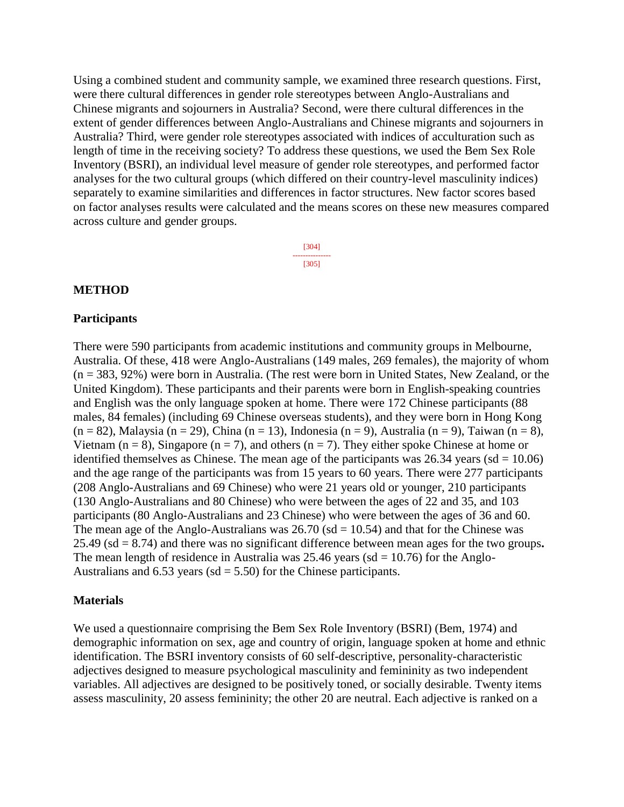Using a combined student and community sample, we examined three research questions. First, were there cultural differences in gender role stereotypes between Anglo-Australians and Chinese migrants and sojourners in Australia? Second, were there cultural differences in the extent of gender differences between Anglo-Australians and Chinese migrants and sojourners in Australia? Third, were gender role stereotypes associated with indices of acculturation such as length of time in the receiving society? To address these questions, we used the Bem Sex Role Inventory (BSRI), an individual level measure of gender role stereotypes, and performed factor analyses for the two cultural groups (which differed on their country-level masculinity indices) separately to examine similarities and differences in factor structures. New factor scores based on factor analyses results were calculated and the means scores on these new measures compared across culture and gender groups.

> [304] --------------- [305]

### **METHOD**

### **Participants**

There were 590 participants from academic institutions and community groups in Melbourne, Australia. Of these, 418 were Anglo-Australians (149 males, 269 females), the majority of whom (n = 383, 92%) were born in Australia. (The rest were born in United States, New Zealand, or the United Kingdom). These participants and their parents were born in English-speaking countries and English was the only language spoken at home. There were 172 Chinese participants (88 males, 84 females) (including 69 Chinese overseas students), and they were born in Hong Kong  $(n = 82)$ , Malaysia (n = 29), China (n = 13), Indonesia (n = 9), Australia (n = 9), Taiwan (n = 8), Vietnam ( $n = 8$ ), Singapore ( $n = 7$ ), and others ( $n = 7$ ). They either spoke Chinese at home or identified themselves as Chinese. The mean age of the participants was  $26.34$  years (sd = 10.06) and the age range of the participants was from 15 years to 60 years. There were 277 participants (208 Anglo-Australians and 69 Chinese) who were 21 years old or younger, 210 participants (130 Anglo-Australians and 80 Chinese) who were between the ages of 22 and 35, and 103 participants (80 Anglo-Australians and 23 Chinese) who were between the ages of 36 and 60. The mean age of the Anglo-Australians was  $26.70$  (sd = 10.54) and that for the Chinese was 25.49 (sd = 8.74) and there was no significant difference between mean ages for the two groups**.**  The mean length of residence in Australia was  $25.46$  years (sd = 10.76) for the Anglo-Australians and  $6.53$  years (sd = 5.50) for the Chinese participants.

### **Materials**

We used a questionnaire comprising the Bem Sex Role Inventory (BSRI) (Bem, 1974) and demographic information on sex, age and country of origin, language spoken at home and ethnic identification. The BSRI inventory consists of 60 self-descriptive, personality-characteristic adjectives designed to measure psychological masculinity and femininity as two independent variables. All adjectives are designed to be positively toned, or socially desirable. Twenty items assess masculinity, 20 assess femininity; the other 20 are neutral. Each adjective is ranked on a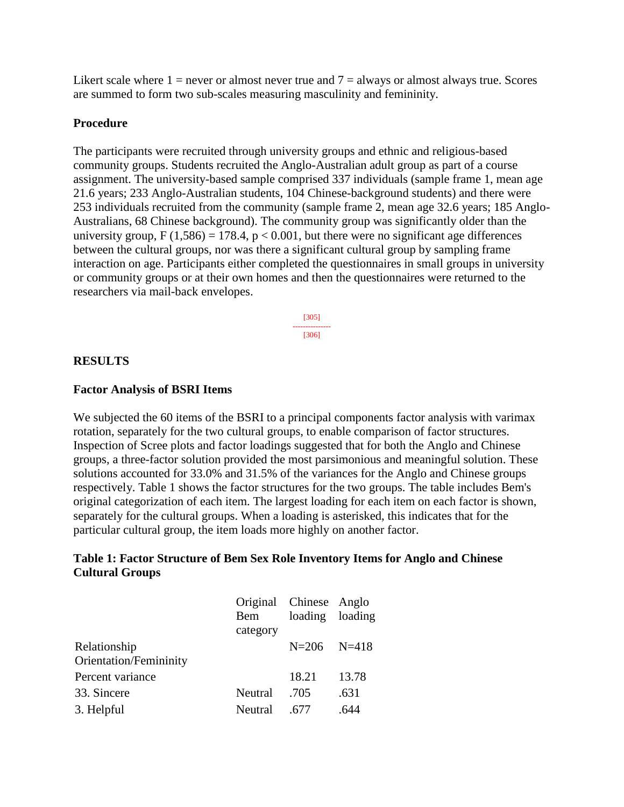Likert scale where  $1 =$  never or almost never true and  $7 =$  always or almost always true. Scores are summed to form two sub-scales measuring masculinity and femininity.

### **Procedure**

The participants were recruited through university groups and ethnic and religious-based community groups. Students recruited the Anglo-Australian adult group as part of a course assignment. The university-based sample comprised 337 individuals (sample frame 1, mean age 21.6 years; 233 Anglo-Australian students, 104 Chinese-background students) and there were 253 individuals recruited from the community (sample frame 2, mean age 32.6 years; 185 Anglo-Australians, 68 Chinese background). The community group was significantly older than the university group,  $F(1,586) = 178.4$ ,  $p < 0.001$ , but there were no significant age differences between the cultural groups, nor was there a significant cultural group by sampling frame interaction on age. Participants either completed the questionnaires in small groups in university or community groups or at their own homes and then the questionnaires were returned to the researchers via mail-back envelopes.

> [305] --------------- [306]

## **RESULTS**

## **Factor Analysis of BSRI Items**

We subjected the 60 items of the BSRI to a principal components factor analysis with varimax rotation, separately for the two cultural groups, to enable comparison of factor structures. Inspection of Scree plots and factor loadings suggested that for both the Anglo and Chinese groups, a three-factor solution provided the most parsimonious and meaningful solution. These solutions accounted for 33.0% and 31.5% of the variances for the Anglo and Chinese groups respectively. Table 1 shows the factor structures for the two groups. The table includes Bem's original categorization of each item. The largest loading for each item on each factor is shown, separately for the cultural groups. When a loading is asterisked, this indicates that for the particular cultural group, the item loads more highly on another factor.

# **Table 1: Factor Structure of Bem Sex Role Inventory Items for Anglo and Chinese Cultural Groups**

|                        | Original Chinese Anglo |                 |       |
|------------------------|------------------------|-----------------|-------|
|                        | Bem                    | loading loading |       |
|                        | category               |                 |       |
| Relationship           |                        | $N=206$ $N=418$ |       |
| Orientation/Femininity |                        |                 |       |
| Percent variance       |                        | 18.21           | 13.78 |
| 33. Sincere            | Neutral                | .705            | .631  |
| 3. Helpful             | Neutral                | .677            | 644   |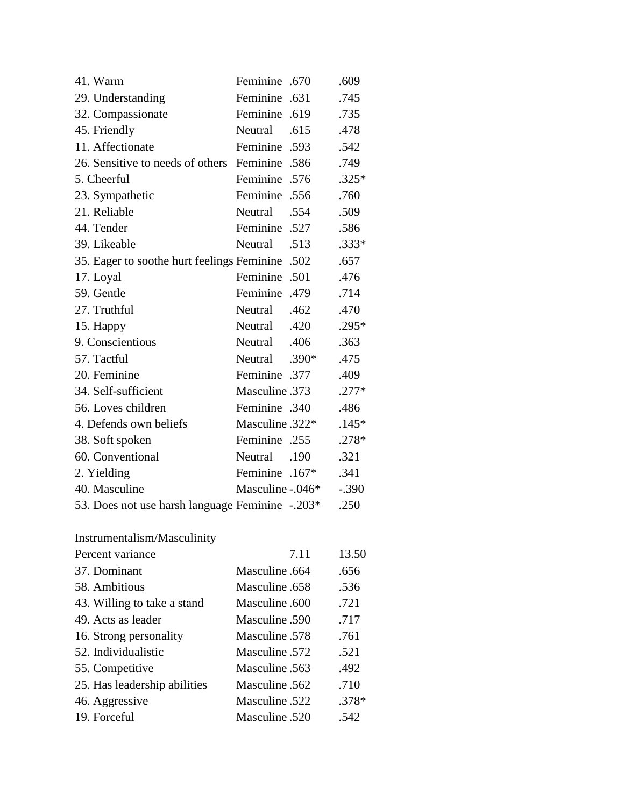| 41. Warm                                        | Feminine .670         |         | .609    |
|-------------------------------------------------|-----------------------|---------|---------|
| 29. Understanding                               | Feminine .631         |         | .745    |
| 32. Compassionate                               | Feminine .619         |         | .735    |
| 45. Friendly                                    | 615. Neutral          |         | .478    |
| 11. Affectionate                                | Feminine .593         |         | .542    |
| 26. Sensitive to needs of others                | Feminine .586         |         | .749    |
| 5. Cheerful                                     | Feminine .576         |         | $.325*$ |
| 23. Sympathetic                                 | Feminine .556         |         | .760    |
| 21. Reliable                                    | Neutral               | .554    | .509    |
| 44. Tender                                      | 527. Feminine         |         | .586    |
| 39. Likeable                                    | Neutral               | .513    | $.333*$ |
| 35. Eager to soothe hurt feelings Feminine      |                       | .502    | .657    |
| 17. Loyal                                       | Feminine .501         |         | .476    |
| 59. Gentle                                      | Feminine .479         |         | .714    |
| 27. Truthful                                    | Neutral               | .462    | .470    |
| 15. Happy                                       | Applyment Neutral 420 |         | $.295*$ |
| 9. Conscientious                                | Neutral .406          |         | .363    |
| 57. Tactful                                     | Neutral               | $.390*$ | .475    |
| 20. Feminine                                    | <b>Feminine</b> .377  |         | .409    |
| 34. Self-sufficient                             | Masculine .373        |         | $.277*$ |
| 56. Loves children                              | Feminine .340         |         | .486    |
| 4. Defends own beliefs                          | Masculine .322*       |         | $.145*$ |
| 38. Soft spoken                                 | Feminine .255         |         | .278*   |
| 60. Conventional                                | Neutral               | .190    | .321    |
| 2. Yielding                                     | Feminine .167*        |         | .341    |
| 40. Masculine                                   | Masculine $-.046*$    |         | $-.390$ |
| 53. Does not use harsh language Feminine -.203* |                       |         | .250    |
| Instrumentalism/Masculinity                     |                       |         |         |
| Percent variance                                |                       | 7.11    | 13.50   |
| 37. Dominant                                    | Masculine .664        |         | .656    |
| 58. Ambitious                                   | Masculine .658        |         | .536    |
| 43. Willing to take a stand                     | Masculine.600         |         | .721    |
| 49. Acts as leader                              | Masculine .590        |         | .717    |
| 16. Strong personality                          | Masculine .578        |         | .761    |
| 52. Individualistic                             | Masculine .572        |         | .521    |
| 55. Competitive                                 | Masculine .563        |         | .492    |
| 25. Has leadership abilities                    | Masculine .562        |         | .710    |

46. Aggressive Masculine .522 .378\*<br>19. Forceful Masculine .520 .542

Masculine .520 .542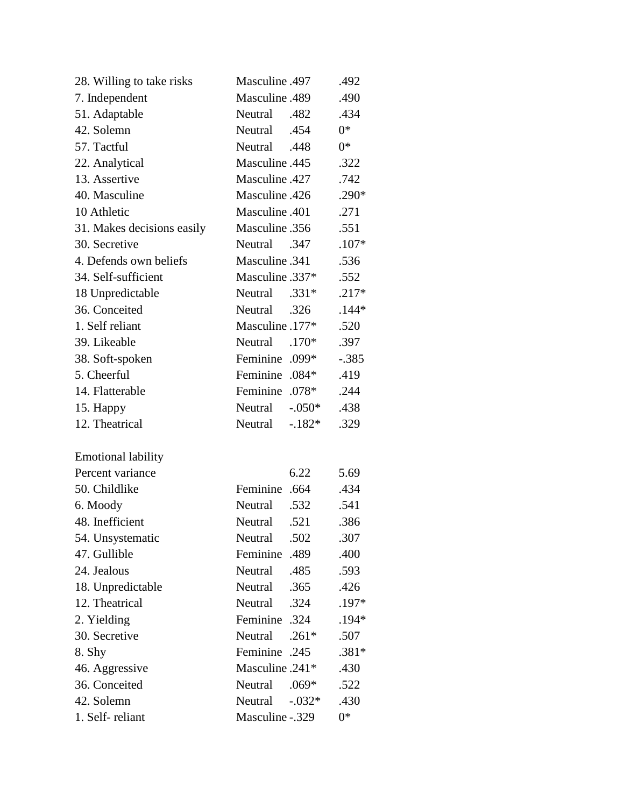| 28. Willing to take risks  | Masculine .497          | .492    |
|----------------------------|-------------------------|---------|
| 7. Independent             | Masculine .489          | .490    |
| 51. Adaptable              | Algorithm Neutral 0.482 | .434    |
| 42. Solemn                 | A54. Neutral            | $0^*$   |
| 57. Tactful                | A48. Neutral            | $0*$    |
| 22. Analytical             | Masculine .445          | .322    |
| 13. Assertive              | Masculine .427          | .742    |
| 40. Masculine              | Masculine .426          | $.290*$ |
| 10 Athletic                | Masculine .401          | .271    |
| 31. Makes decisions easily | Masculine .356          | .551    |
| 30. Secretive              | Neutral<br>.347         | $.107*$ |
| 4. Defends own beliefs     | Masculine .341          | .536    |
| 34. Self-sufficient        | Masculine .337*         | .552    |
| 18 Unpredictable           | Neutral<br>$.331*$      | $.217*$ |
| 36. Conceited              | Neutral<br>.326         | $.144*$ |
| 1. Self reliant            | Masculine .177*         | .520    |
| 39. Likeable               | Neutral<br>$.170*$      | .397    |
| 38. Soft-spoken            | Feminine .099*          | $-.385$ |
| 5. Cheerful                | Feminine .084*          | .419    |
| 14. Flatterable            | Feminine .078*          | .244    |
| 15. Happy                  | $-.050*$<br>Neutral     | .438    |
| 12. Theatrical             | $-182*$<br>Neutral      | .329    |
| <b>Emotional lability</b>  |                         |         |
| Percent variance           | 6.22                    | 5.69    |
| 50. Childlike              | Feminine .664           | .434    |
| 6. Moody                   | Neutral<br>.532         | .541    |
| 48. Inefficient            | Neutral .521            | .386    |
| 54. Unsystematic           | Neutral<br>.502         | .307    |
| 47. Gullible               | Feminine .489           | .400    |
| 24. Jealous                | Neutral<br>.485         | .593    |
| 18. Unpredictable          | Neutral<br>.365         | .426    |
| 12. Theatrical             | Neutral<br>.324         | .197*   |
| 2. Yielding                | Feminine .324           | .194*   |
| 30. Secretive              | Neutral<br>$.261*$      | .507    |
| 8. Shy                     | <b>Feminine</b> .245    | $.381*$ |
| 46. Aggressive             | Masculine .241*         | .430    |
| 36. Conceited              | Neutral<br>$.069*$      | .522    |
| 42. Solemn                 | Neutral<br>$-0.032*$    | .430    |
| 1. Self-reliant            | Masculine -.329         | $0*$    |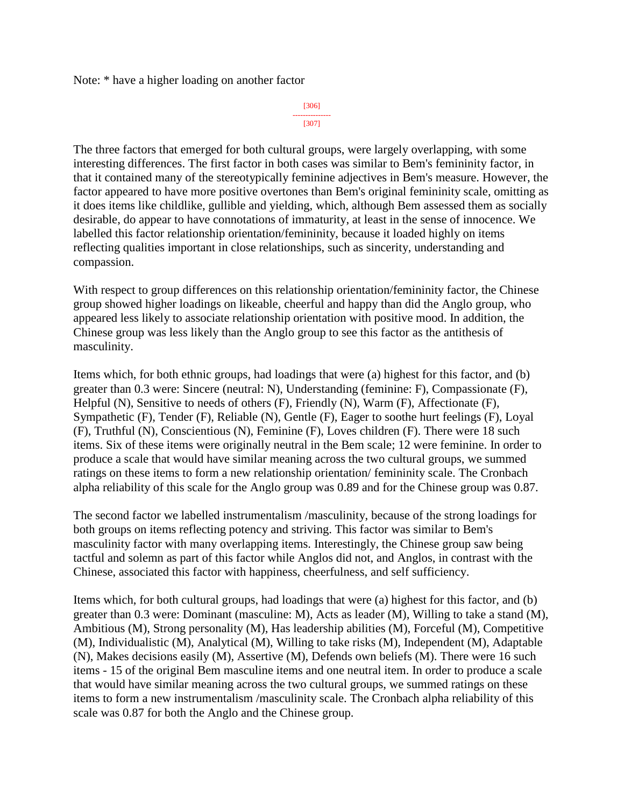Note: \* have a higher loading on another factor

[306] --------------- [307]

The three factors that emerged for both cultural groups, were largely overlapping, with some interesting differences. The first factor in both cases was similar to Bem's femininity factor, in that it contained many of the stereotypically feminine adjectives in Bem's measure. However, the factor appeared to have more positive overtones than Bem's original femininity scale, omitting as it does items like childlike, gullible and yielding, which, although Bem assessed them as socially desirable, do appear to have connotations of immaturity, at least in the sense of innocence. We labelled this factor relationship orientation/femininity, because it loaded highly on items reflecting qualities important in close relationships, such as sincerity, understanding and compassion.

With respect to group differences on this relationship orientation/femininity factor, the Chinese group showed higher loadings on likeable, cheerful and happy than did the Anglo group, who appeared less likely to associate relationship orientation with positive mood. In addition, the Chinese group was less likely than the Anglo group to see this factor as the antithesis of masculinity.

Items which, for both ethnic groups, had loadings that were (a) highest for this factor, and (b) greater than 0.3 were: Sincere (neutral: N), Understanding (feminine: F), Compassionate (F), Helpful (N), Sensitive to needs of others (F), Friendly (N), Warm (F), Affectionate (F), Sympathetic (F), Tender (F), Reliable (N), Gentle (F), Eager to soothe hurt feelings (F), Loyal (F), Truthful (N), Conscientious (N), Feminine (F), Loves children (F). There were 18 such items. Six of these items were originally neutral in the Bem scale; 12 were feminine. In order to produce a scale that would have similar meaning across the two cultural groups, we summed ratings on these items to form a new relationship orientation/ femininity scale. The Cronbach alpha reliability of this scale for the Anglo group was 0.89 and for the Chinese group was 0.87.

The second factor we labelled instrumentalism /masculinity, because of the strong loadings for both groups on items reflecting potency and striving. This factor was similar to Bem's masculinity factor with many overlapping items. Interestingly, the Chinese group saw being tactful and solemn as part of this factor while Anglos did not, and Anglos, in contrast with the Chinese, associated this factor with happiness, cheerfulness, and self sufficiency.

Items which, for both cultural groups, had loadings that were (a) highest for this factor, and (b) greater than 0.3 were: Dominant (masculine: M), Acts as leader (M), Willing to take a stand (M), Ambitious (M), Strong personality (M), Has leadership abilities (M), Forceful (M), Competitive (M), Individualistic (M), Analytical (M), Willing to take risks (M), Independent (M), Adaptable (N), Makes decisions easily (M), Assertive (M), Defends own beliefs (M). There were 16 such items - 15 of the original Bem masculine items and one neutral item. In order to produce a scale that would have similar meaning across the two cultural groups, we summed ratings on these items to form a new instrumentalism /masculinity scale. The Cronbach alpha reliability of this scale was 0.87 for both the Anglo and the Chinese group.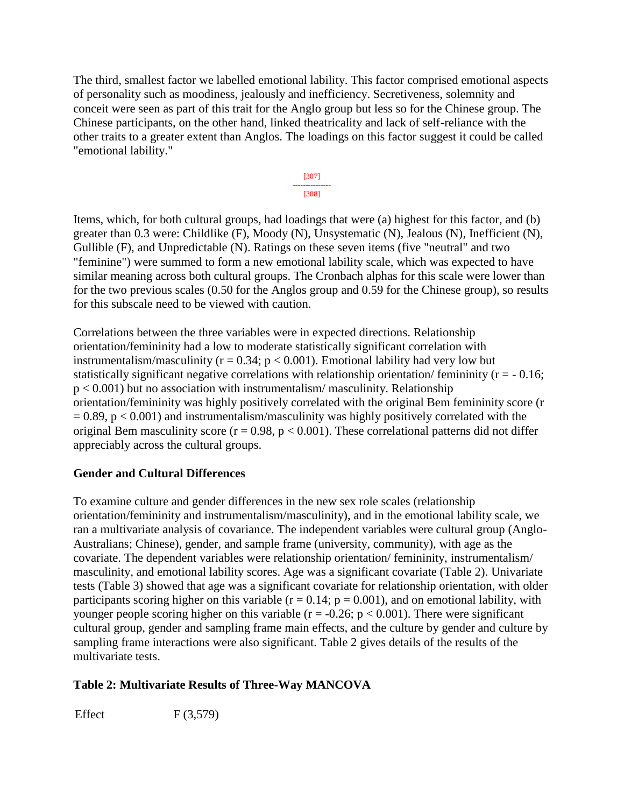The third, smallest factor we labelled emotional lability. This factor comprised emotional aspects of personality such as moodiness, jealously and inefficiency. Secretiveness, solemnity and conceit were seen as part of this trait for the Anglo group but less so for the Chinese group. The Chinese participants, on the other hand, linked theatricality and lack of self-reliance with the other traits to a greater extent than Anglos. The loadings on this factor suggest it could be called "emotional lability."



Items, which, for both cultural groups, had loadings that were (a) highest for this factor, and (b) greater than 0.3 were: Childlike (F), Moody (N), Unsystematic (N), Jealous (N), Inefficient (N), Gullible (F), and Unpredictable (N). Ratings on these seven items (five "neutral" and two "feminine") were summed to form a new emotional lability scale, which was expected to have similar meaning across both cultural groups. The Cronbach alphas for this scale were lower than for the two previous scales (0.50 for the Anglos group and 0.59 for the Chinese group), so results for this subscale need to be viewed with caution.

Correlations between the three variables were in expected directions. Relationship orientation/femininity had a low to moderate statistically significant correlation with instrumentalism/masculinity ( $r = 0.34$ ;  $p < 0.001$ ). Emotional lability had very low but statistically significant negative correlations with relationship orientation/ femininity ( $r = -0.16$ ;  $p < 0.001$ ) but no association with instrumentalism/ masculinity. Relationship orientation/femininity was highly positively correlated with the original Bem femininity score (r  $= 0.89$ ,  $p < 0.001$ ) and instrumentalism/masculinity was highly positively correlated with the original Bem masculinity score ( $r = 0.98$ ,  $p < 0.001$ ). These correlational patterns did not differ appreciably across the cultural groups.

# **Gender and Cultural Differences**

To examine culture and gender differences in the new sex role scales (relationship orientation/femininity and instrumentalism/masculinity), and in the emotional lability scale, we ran a multivariate analysis of covariance. The independent variables were cultural group (Anglo-Australians; Chinese), gender, and sample frame (university, community), with age as the covariate. The dependent variables were relationship orientation/ femininity, instrumentalism/ masculinity, and emotional lability scores. Age was a significant covariate (Table 2). Univariate tests (Table 3) showed that age was a significant covariate for relationship orientation, with older participants scoring higher on this variable ( $r = 0.14$ ;  $p = 0.001$ ), and on emotional lability, with younger people scoring higher on this variable ( $r = -0.26$ ;  $p < 0.001$ ). There were significant cultural group, gender and sampling frame main effects, and the culture by gender and culture by sampling frame interactions were also significant. Table 2 gives details of the results of the multivariate tests.

# **Table 2: Multivariate Results of Three-Way MANCOVA**

Effect  $F(3,579)$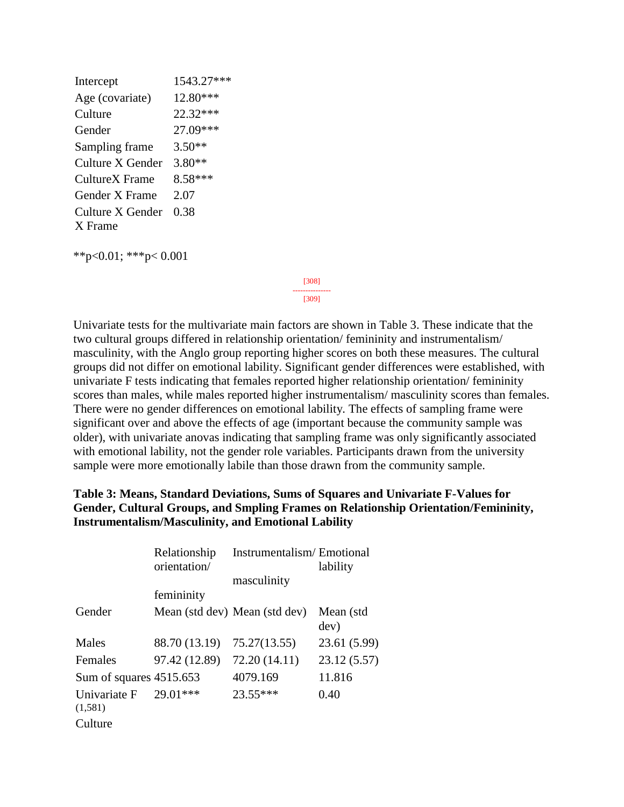| Intercept        | 1543.27*** |
|------------------|------------|
| Age (covariate)  | 12.80***   |
| Culture          | 22.32***   |
| Gender           | 27.09***   |
| Sampling frame   | $3.50**$   |
| Culture X Gender | $3.80**$   |
| CultureX Frame   | 8.58***    |
| Gender X Frame   | 2.07       |
| Culture X Gender | 0.38       |
| X Frame          |            |

\*\*p<0.01; \*\*\*p< 0.001

[308] ---------------

[309]

Univariate tests for the multivariate main factors are shown in Table 3. These indicate that the two cultural groups differed in relationship orientation/ femininity and instrumentalism/ masculinity, with the Anglo group reporting higher scores on both these measures. The cultural groups did not differ on emotional lability. Significant gender differences were established, with univariate F tests indicating that females reported higher relationship orientation/ femininity scores than males, while males reported higher instrumentalism/ masculinity scores than females. There were no gender differences on emotional lability. The effects of sampling frame were significant over and above the effects of age (important because the community sample was older), with univariate anovas indicating that sampling frame was only significantly associated with emotional lability, not the gender role variables. Participants drawn from the university sample were more emotionally labile than those drawn from the community sample.

## **Table 3: Means, Standard Deviations, Sums of Squares and Univariate F-Values for Gender, Cultural Groups, and Smpling Frames on Relationship Orientation/Femininity, Instrumentalism/Masculinity, and Emotional Lability**

|                         | Relationship<br>orientation/ | Instrumentalism/Emotional     | lability          |
|-------------------------|------------------------------|-------------------------------|-------------------|
|                         |                              | masculinity                   |                   |
|                         | femininity                   |                               |                   |
| Gender                  |                              | Mean (std dev) Mean (std dev) | Mean (std<br>dev) |
| Males                   | 88.70 (13.19)                | 75.27(13.55)                  | 23.61 (5.99)      |
| Females                 | 97.42 (12.89)                | 72.20 (14.11)                 | 23.12 (5.57)      |
| Sum of squares 4515.653 |                              | 4079.169                      | 11.816            |
| Univariate F<br>(1,581) | $29.01***$                   | $23.55***$                    | 0.40              |
| Culture                 |                              |                               |                   |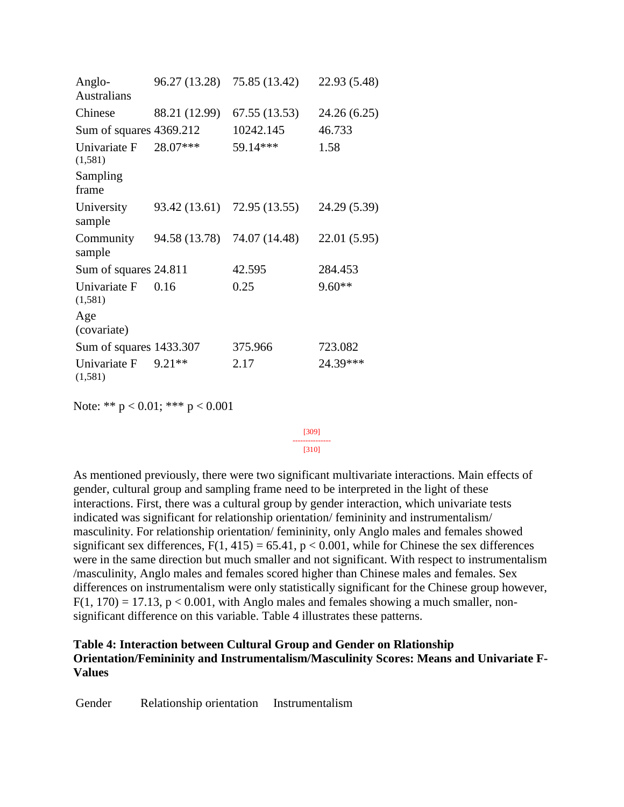|               | 75.85 (13.42)                                                               | 22.93 (5.48)                                 |
|---------------|-----------------------------------------------------------------------------|----------------------------------------------|
| 88.21 (12.99) | 67.55 (13.53)                                                               | 24.26 (6.25)                                 |
|               | 10242.145                                                                   | 46.733                                       |
| 28.07***      | 59.14***                                                                    | 1.58                                         |
|               |                                                                             |                                              |
|               |                                                                             | 24.29 (5.39)                                 |
| 94.58 (13.78) | 74.07 (14.48)                                                               | 22.01 (5.95)                                 |
|               | 42.595                                                                      | 284.453                                      |
| 0.16          | 0.25                                                                        | $9.60**$                                     |
|               |                                                                             |                                              |
|               | 375.966                                                                     | 723.082                                      |
| 9.21**        | 2.17                                                                        | 24.39***                                     |
|               | Sum of squares 4369.212<br>Sum of squares 24.811<br>Sum of squares 1433.307 | 96.27 (13.28)<br>93.42 (13.61) 72.95 (13.55) |

Note: \*\* p < 0.01; \*\*\* p < 0.001

#### [309] --------------- [310]

As mentioned previously, there were two significant multivariate interactions. Main effects of gender, cultural group and sampling frame need to be interpreted in the light of these interactions. First, there was a cultural group by gender interaction, which univariate tests indicated was significant for relationship orientation/ femininity and instrumentalism/ masculinity. For relationship orientation/ femininity, only Anglo males and females showed significant sex differences,  $F(1, 415) = 65.41$ ,  $p < 0.001$ , while for Chinese the sex differences were in the same direction but much smaller and not significant. With respect to instrumentalism /masculinity, Anglo males and females scored higher than Chinese males and females. Sex differences on instrumentalism were only statistically significant for the Chinese group however,  $F(1, 170) = 17.13$ ,  $p < 0.001$ , with Anglo males and females showing a much smaller, nonsignificant difference on this variable. Table 4 illustrates these patterns.

### **Table 4: Interaction between Cultural Group and Gender on Rlationship Orientation/Femininity and Instrumentalism/Masculinity Scores: Means and Univariate F-Values**

Gender Relationship orientation Instrumentalism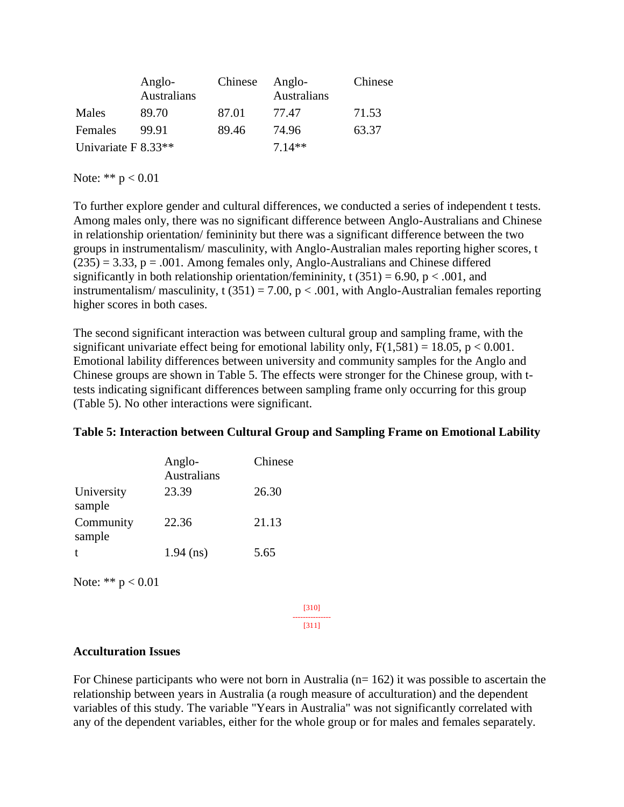|                       | Anglo-<br>Australians | Chinese | Anglo-<br>Australians | Chinese |
|-----------------------|-----------------------|---------|-----------------------|---------|
| Males                 | 89.70                 | 87.01   | 77.47                 | 71.53   |
| Females               | 99.91                 | 89.46   | 74.96                 | 63.37   |
| Univariate $F 8.33**$ |                       |         | $7.14**$              |         |

Note: \*\*  $p < 0.01$ 

To further explore gender and cultural differences, we conducted a series of independent t tests. Among males only, there was no significant difference between Anglo-Australians and Chinese in relationship orientation/ femininity but there was a significant difference between the two groups in instrumentalism/ masculinity, with Anglo-Australian males reporting higher scores, t  $(235) = 3.33$ ,  $p = .001$ . Among females only, Anglo-Australians and Chinese differed significantly in both relationship orientation/femininity, t  $(351) = 6.90$ , p < .001, and instrumentalism/masculinity, t  $(351) = 7.00$ , p < .001, with Anglo-Australian females reporting higher scores in both cases.

The second significant interaction was between cultural group and sampling frame, with the significant univariate effect being for emotional lability only,  $F(1,581) = 18.05$ ,  $p < 0.001$ . Emotional lability differences between university and community samples for the Anglo and Chinese groups are shown in Table 5. The effects were stronger for the Chinese group, with ttests indicating significant differences between sampling frame only occurring for this group (Table 5). No other interactions were significant.

|                      | Anglo-<br><b>Australians</b> | Chinese |
|----------------------|------------------------------|---------|
| University<br>sample | 23.39                        | 26.30   |
| Community<br>sample  | 22.36                        | 21.13   |
|                      | $1.94$ (ns)                  | 5.65    |

### **Table 5: Interaction between Cultural Group and Sampling Frame on Emotional Lability**

Note: \*\*  $p < 0.01$ 

[310] --------------- [311]

### **Acculturation Issues**

For Chinese participants who were not born in Australia ( $n=162$ ) it was possible to ascertain the relationship between years in Australia (a rough measure of acculturation) and the dependent variables of this study. The variable "Years in Australia" was not significantly correlated with any of the dependent variables, either for the whole group or for males and females separately.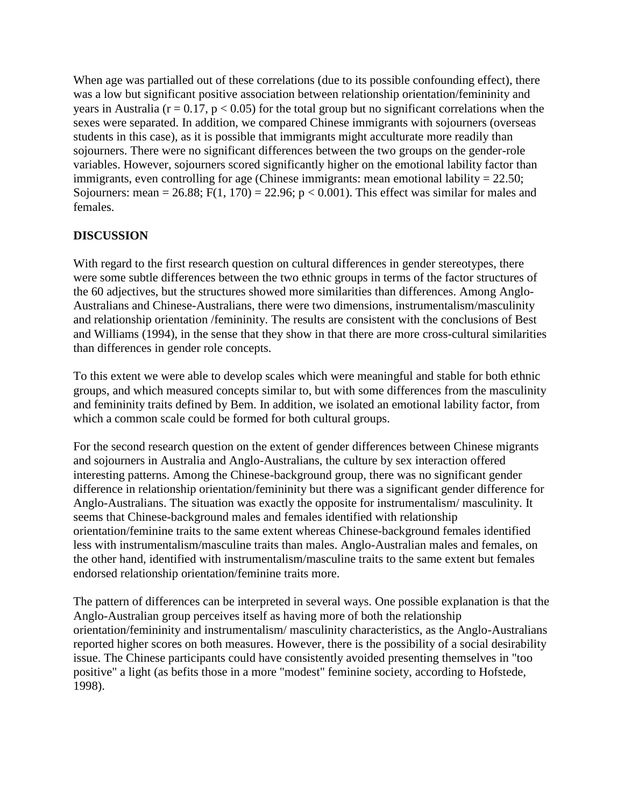When age was partialled out of these correlations (due to its possible confounding effect), there was a low but significant positive association between relationship orientation/femininity and years in Australia ( $r = 0.17$ ,  $p < 0.05$ ) for the total group but no significant correlations when the sexes were separated. In addition, we compared Chinese immigrants with sojourners (overseas students in this case), as it is possible that immigrants might acculturate more readily than sojourners. There were no significant differences between the two groups on the gender-role variables. However, sojourners scored significantly higher on the emotional lability factor than immigrants, even controlling for age (Chinese immigrants: mean emotional lability = 22.50; Sojourners: mean = 26.88; F(1, 170) = 22.96;  $p < 0.001$ ). This effect was similar for males and females.

# **DISCUSSION**

With regard to the first research question on cultural differences in gender stereotypes, there were some subtle differences between the two ethnic groups in terms of the factor structures of the 60 adjectives, but the structures showed more similarities than differences. Among Anglo-Australians and Chinese-Australians, there were two dimensions, instrumentalism/masculinity and relationship orientation /femininity. The results are consistent with the conclusions of Best and Williams (1994), in the sense that they show in that there are more cross-cultural similarities than differences in gender role concepts.

To this extent we were able to develop scales which were meaningful and stable for both ethnic groups, and which measured concepts similar to, but with some differences from the masculinity and femininity traits defined by Bem. In addition, we isolated an emotional lability factor, from which a common scale could be formed for both cultural groups.

For the second research question on the extent of gender differences between Chinese migrants and sojourners in Australia and Anglo-Australians, the culture by sex interaction offered interesting patterns. Among the Chinese-background group, there was no significant gender difference in relationship orientation/femininity but there was a significant gender difference for Anglo-Australians. The situation was exactly the opposite for instrumentalism/ masculinity. It seems that Chinese-background males and females identified with relationship orientation/feminine traits to the same extent whereas Chinese-background females identified less with instrumentalism/masculine traits than males. Anglo-Australian males and females, on the other hand, identified with instrumentalism/masculine traits to the same extent but females endorsed relationship orientation/feminine traits more.

The pattern of differences can be interpreted in several ways. One possible explanation is that the Anglo-Australian group perceives itself as having more of both the relationship orientation/femininity and instrumentalism/ masculinity characteristics, as the Anglo-Australians reported higher scores on both measures. However, there is the possibility of a social desirability issue. The Chinese participants could have consistently avoided presenting themselves in "too positive" a light (as befits those in a more "modest" feminine society, according to Hofstede, 1998).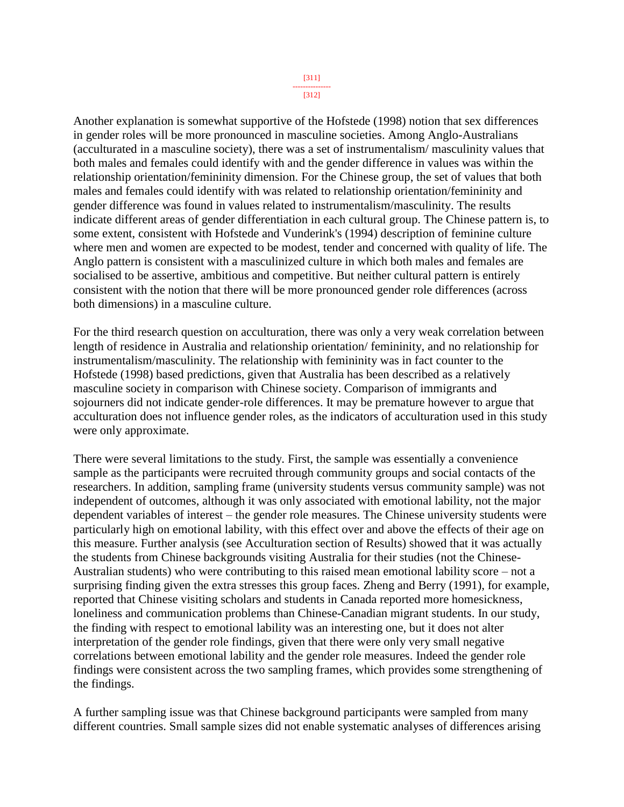[312]

Another explanation is somewhat supportive of the Hofstede (1998) notion that sex differences in gender roles will be more pronounced in masculine societies. Among Anglo-Australians (acculturated in a masculine society), there was a set of instrumentalism/ masculinity values that both males and females could identify with and the gender difference in values was within the relationship orientation/femininity dimension. For the Chinese group, the set of values that both males and females could identify with was related to relationship orientation/femininity and gender difference was found in values related to instrumentalism/masculinity. The results indicate different areas of gender differentiation in each cultural group. The Chinese pattern is, to some extent, consistent with Hofstede and Vunderink's (1994) description of feminine culture where men and women are expected to be modest, tender and concerned with quality of life. The Anglo pattern is consistent with a masculinized culture in which both males and females are socialised to be assertive, ambitious and competitive. But neither cultural pattern is entirely consistent with the notion that there will be more pronounced gender role differences (across both dimensions) in a masculine culture.

For the third research question on acculturation, there was only a very weak correlation between length of residence in Australia and relationship orientation/ femininity, and no relationship for instrumentalism/masculinity. The relationship with femininity was in fact counter to the Hofstede (1998) based predictions, given that Australia has been described as a relatively masculine society in comparison with Chinese society. Comparison of immigrants and sojourners did not indicate gender-role differences. It may be premature however to argue that acculturation does not influence gender roles, as the indicators of acculturation used in this study were only approximate.

There were several limitations to the study. First, the sample was essentially a convenience sample as the participants were recruited through community groups and social contacts of the researchers. In addition, sampling frame (university students versus community sample) was not independent of outcomes, although it was only associated with emotional lability, not the major dependent variables of interest – the gender role measures. The Chinese university students were particularly high on emotional lability, with this effect over and above the effects of their age on this measure. Further analysis (see Acculturation section of Results) showed that it was actually the students from Chinese backgrounds visiting Australia for their studies (not the Chinese-Australian students) who were contributing to this raised mean emotional lability score – not a surprising finding given the extra stresses this group faces. Zheng and Berry (1991), for example, reported that Chinese visiting scholars and students in Canada reported more homesickness, loneliness and communication problems than Chinese-Canadian migrant students. In our study, the finding with respect to emotional lability was an interesting one, but it does not alter interpretation of the gender role findings, given that there were only very small negative correlations between emotional lability and the gender role measures. Indeed the gender role findings were consistent across the two sampling frames, which provides some strengthening of the findings.

A further sampling issue was that Chinese background participants were sampled from many different countries. Small sample sizes did not enable systematic analyses of differences arising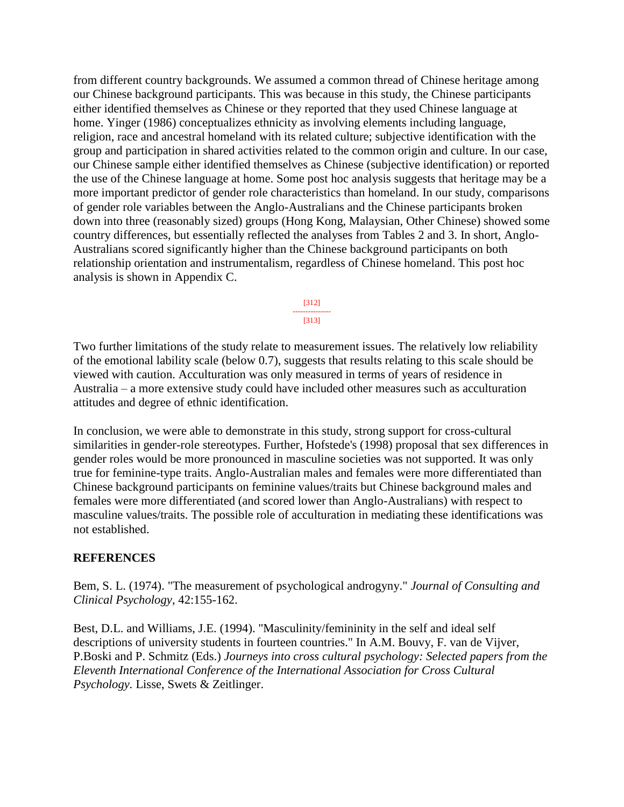from different country backgrounds. We assumed a common thread of Chinese heritage among our Chinese background participants. This was because in this study, the Chinese participants either identified themselves as Chinese or they reported that they used Chinese language at home. Yinger (1986) conceptualizes ethnicity as involving elements including language, religion, race and ancestral homeland with its related culture; subjective identification with the group and participation in shared activities related to the common origin and culture. In our case, our Chinese sample either identified themselves as Chinese (subjective identification) or reported the use of the Chinese language at home. Some post hoc analysis suggests that heritage may be a more important predictor of gender role characteristics than homeland. In our study, comparisons of gender role variables between the Anglo-Australians and the Chinese participants broken down into three (reasonably sized) groups (Hong Kong, Malaysian, Other Chinese) showed some country differences, but essentially reflected the analyses from Tables 2 and 3. In short, Anglo-Australians scored significantly higher than the Chinese background participants on both relationship orientation and instrumentalism, regardless of Chinese homeland. This post hoc analysis is shown in Appendix C.

> [312] --------------- [313]

Two further limitations of the study relate to measurement issues. The relatively low reliability of the emotional lability scale (below 0.7), suggests that results relating to this scale should be viewed with caution. Acculturation was only measured in terms of years of residence in Australia – a more extensive study could have included other measures such as acculturation attitudes and degree of ethnic identification.

In conclusion, we were able to demonstrate in this study, strong support for cross-cultural similarities in gender-role stereotypes. Further, Hofstede's (1998) proposal that sex differences in gender roles would be more pronounced in masculine societies was not supported. It was only true for feminine-type traits. Anglo-Australian males and females were more differentiated than Chinese background participants on feminine values/traits but Chinese background males and females were more differentiated (and scored lower than Anglo-Australians) with respect to masculine values/traits. The possible role of acculturation in mediating these identifications was not established.

# **REFERENCES**

Bem, S. L. (1974). "The measurement of psychological androgyny." *Journal of Consulting and Clinical Psychology*, 42:155-162.

Best, D.L. and Williams, J.E. (1994). "Masculinity/femininity in the self and ideal self descriptions of university students in fourteen countries." In A.M. Bouvy, F. van de Vijver, P.Boski and P. Schmitz (Eds.) *Journeys into cross cultural psychology: Selected papers from the Eleventh International Conference of the International Association for Cross Cultural Psychology.* Lisse, Swets & Zeitlinger.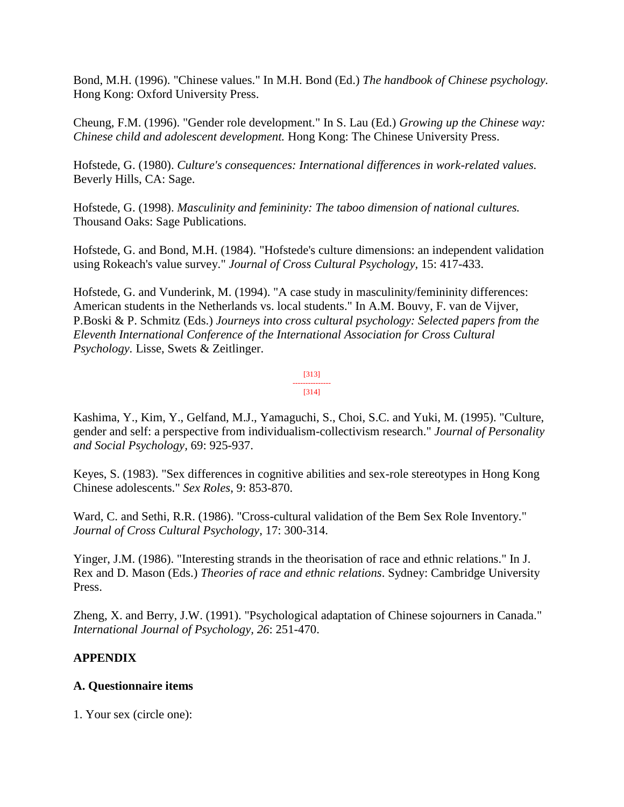Bond, M.H. (1996). "Chinese values." In M.H. Bond (Ed.) *The handbook of Chinese psychology.* Hong Kong: Oxford University Press.

Cheung, F.M. (1996). "Gender role development." In S. Lau (Ed.) *Growing up the Chinese way: Chinese child and adolescent development.* Hong Kong: The Chinese University Press.

Hofstede, G. (1980). *Culture's consequences: International differences in work-related values.* Beverly Hills, CA: Sage.

Hofstede, G. (1998). *Masculinity and femininity: The taboo dimension of national cultures.* Thousand Oaks: Sage Publications.

Hofstede, G. and Bond, M.H. (1984). "Hofstede's culture dimensions: an independent validation using Rokeach's value survey." *Journal of Cross Cultural Psychology,* 15: 417-433.

Hofstede, G. and Vunderink, M. (1994). "A case study in masculinity/femininity differences: American students in the Netherlands vs. local students." In A.M. Bouvy, F. van de Vijver, P.Boski & P. Schmitz (Eds.) *Journeys into cross cultural psychology: Selected papers from the Eleventh International Conference of the International Association for Cross Cultural Psychology.* Lisse, Swets & Zeitlinger.

#### [313] --------------- [314]

Kashima, Y., Kim, Y., Gelfand, M.J., Yamaguchi, S., Choi, S.C. and Yuki, M. (1995). "Culture, gender and self: a perspective from individualism-collectivism research." *Journal of Personality and Social Psychology,* 69: 925-937.

Keyes, S. (1983). "Sex differences in cognitive abilities and sex-role stereotypes in Hong Kong Chinese adolescents." *Sex Roles*, 9: 853-870.

Ward, C. and Sethi, R.R. (1986). "Cross-cultural validation of the Bem Sex Role Inventory." *Journal of Cross Cultural Psychology*, 17: 300-314.

Yinger, J.M. (1986). "Interesting strands in the theorisation of race and ethnic relations." In J. Rex and D. Mason (Eds.) *Theories of race and ethnic relations*. Sydney: Cambridge University Press.

Zheng, X. and Berry, J.W. (1991). "Psychological adaptation of Chinese sojourners in Canada." *International Journal of Psychology, 26*: 251-470.

# **APPENDIX**

# **A. Questionnaire items**

1. Your sex (circle one):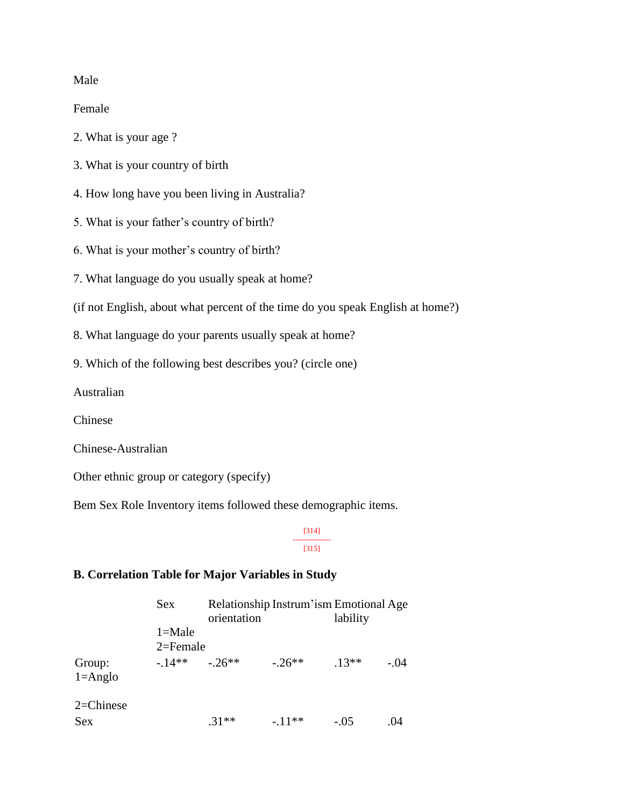### Male

Female

- 2. What is your age ?
- 3. What is your country of birth
- 4. How long have you been living in Australia?
- 5. What is your father's country of birth?
- 6. What is your mother's country of birth?
- 7. What language do you usually speak at home?
- (if not English, about what percent of the time do you speak English at home?)
- 8. What language do your parents usually speak at home?
- 9. Which of the following best describes you? (circle one)

Australian

Chinese

Chinese-Australian

Other ethnic group or category (specify)

Bem Sex Role Inventory items followed these demographic items.

[314] --------------- [315]

# **B. Correlation Table for Major Variables in Study**

|                       | <b>Sex</b>   | orientation |          | lability | Relationship Instrum'ism Emotional Age |  |
|-----------------------|--------------|-------------|----------|----------|----------------------------------------|--|
|                       | $1 =$ Male   |             |          |          |                                        |  |
|                       | $2 =$ Female |             |          |          |                                        |  |
| Group:<br>$1 =$ Anglo | $-14**$      | $-26**$     | $-26**$  | $.13**$  | $-.04$                                 |  |
| $2 =$ Chinese         |              |             |          |          |                                        |  |
| <b>Sex</b>            |              | $.31**$     | $-.11**$ | $-.05$   | .04                                    |  |